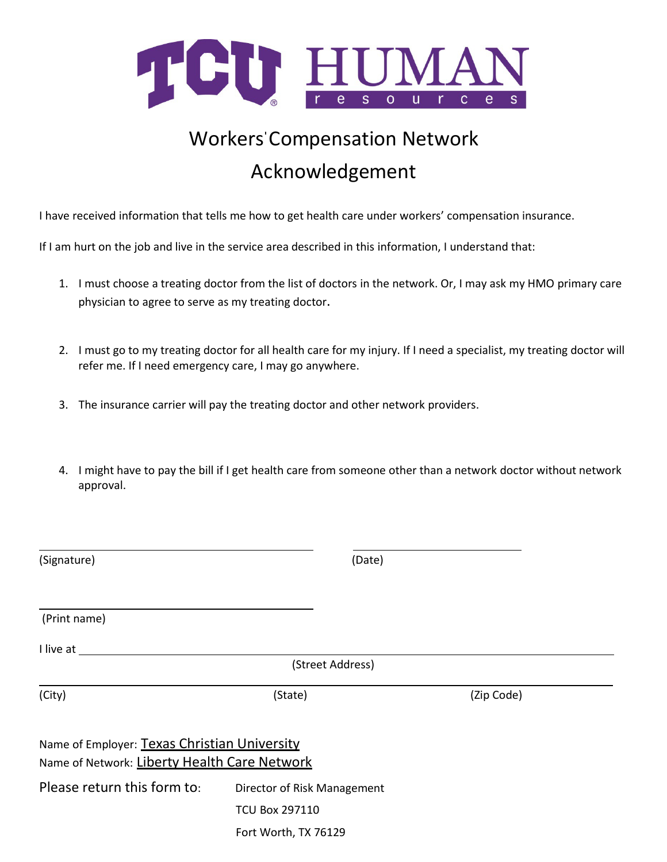

## Workers' Compensation Network Acknowledgement

I have received information that tells me how to get health care under workers' compensation insurance.

If I am hurt on the job and live in the service area described in this information, I understand that:

- 1. I must choose a treating doctor from the list of doctors in the network. Or, I may ask my HMO primary care physician to agree to serve as my treating doctor.
- 2. I must go to my treating doctor for all health care for my injury. If I need a specialist, my treating doctor will refer me. If I need emergency care, I may go anywhere.
- 3. The insurance carrier will pay the treating doctor and other network providers.
- 4. I might have to pay the bill if I get health care from someone other than a network doctor without network approval.

| (Signature)                                                                                  | (Date)                      |            |  |
|----------------------------------------------------------------------------------------------|-----------------------------|------------|--|
| (Print name)                                                                                 |                             |            |  |
| I live at                                                                                    |                             |            |  |
|                                                                                              | (Street Address)            |            |  |
| (City)                                                                                       | (State)                     | (Zip Code) |  |
| Name of Employer: Texas Christian University<br>Name of Network: Liberty Health Care Network |                             |            |  |
| Please return this form to:                                                                  | Director of Risk Management |            |  |
|                                                                                              | <b>TCU Box 297110</b>       |            |  |
|                                                                                              | Fort Worth, TX 76129        |            |  |